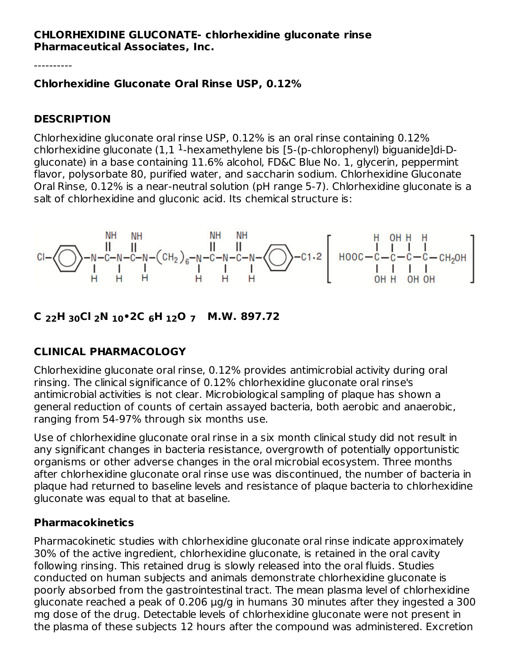### **CHLORHEXIDINE GLUCONATE- chlorhexidine gluconate rinse Pharmaceutical Associates, Inc.**

----------

### **Chlorhexidine Gluconate Oral Rinse USP, 0.12%**

### **DESCRIPTION**

Chlorhexidine gluconate oral rinse USP, 0.12% is an oral rinse containing 0.12% chlorhexidine gluconate  $(1,1<sup>1</sup>$ -hexamethylene bis [5-(p-chlorophenyl) biguanide]di-Dgluconate) in a base containing 11.6% alcohol, FD&C Blue No. 1, glycerin, peppermint flavor, polysorbate 80, purified water, and saccharin sodium. Chlorhexidine Gluconate Oral Rinse, 0.12% is a near-neutral solution (pH range 5-7). Chlorhexidine gluconate is a salt of chlorhexidine and gluconic acid. Its chemical structure is:



**C H Cl N •2C H O M.W. 897.72 22 30 2 10 6 12 7**

# **CLINICAL PHARMACOLOGY**

Chlorhexidine gluconate oral rinse, 0.12% provides antimicrobial activity during oral rinsing. The clinical significance of 0.12% chlorhexidine gluconate oral rinse's antimicrobial activities is not clear. Microbiological sampling of plaque has shown a general reduction of counts of certain assayed bacteria, both aerobic and anaerobic, ranging from 54-97% through six months use.

Use of chlorhexidine gluconate oral rinse in a six month clinical study did not result in any significant changes in bacteria resistance, overgrowth of potentially opportunistic organisms or other adverse changes in the oral microbial ecosystem. Three months after chlorhexidine gluconate oral rinse use was discontinued, the number of bacteria in plaque had returned to baseline levels and resistance of plaque bacteria to chlorhexidine gluconate was equal to that at baseline.

# **Pharmacokinetics**

Pharmacokinetic studies with chlorhexidine gluconate oral rinse indicate approximately 30% of the active ingredient, chlorhexidine gluconate, is retained in the oral cavity following rinsing. This retained drug is slowly released into the oral fluids. Studies conducted on human subjects and animals demonstrate chlorhexidine gluconate is poorly absorbed from the gastrointestinal tract. The mean plasma level of chlorhexidine gluconate reached a peak of 0.206 µg/g in humans 30 minutes after they ingested a 300 mg dose of the drug. Detectable levels of chlorhexidine gluconate were not present in the plasma of these subjects 12 hours after the compound was administered. Excretion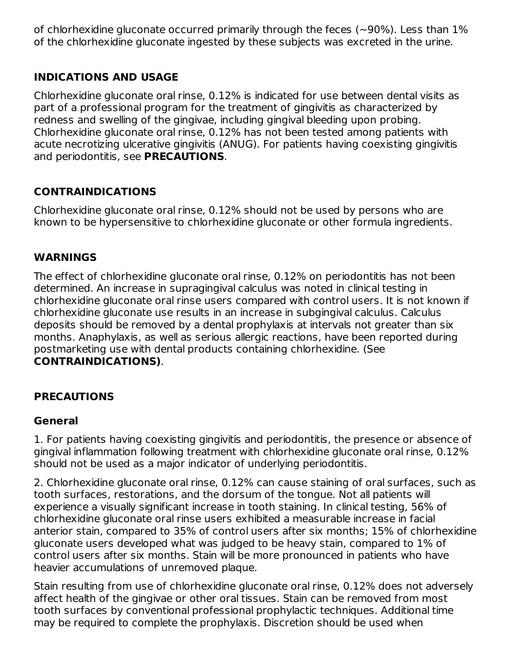of chlorhexidine gluconate occurred primarily through the feces (~90%). Less than 1% of the chlorhexidine gluconate ingested by these subjects was excreted in the urine.

# **INDICATIONS AND USAGE**

Chlorhexidine gluconate oral rinse, 0.12% is indicated for use between dental visits as part of a professional program for the treatment of gingivitis as characterized by redness and swelling of the gingivae, including gingival bleeding upon probing. Chlorhexidine gluconate oral rinse, 0.12% has not been tested among patients with acute necrotizing ulcerative gingivitis (ANUG). For patients having coexisting gingivitis and periodontitis, see **PRECAUTIONS**.

# **CONTRAINDICATIONS**

Chlorhexidine gluconate oral rinse, 0.12% should not be used by persons who are known to be hypersensitive to chlorhexidine gluconate or other formula ingredients.

# **WARNINGS**

The effect of chlorhexidine gluconate oral rinse, 0.12% on periodontitis has not been determined. An increase in supragingival calculus was noted in clinical testing in chlorhexidine gluconate oral rinse users compared with control users. It is not known if chlorhexidine gluconate use results in an increase in subgingival calculus. Calculus deposits should be removed by a dental prophylaxis at intervals not greater than six months. Anaphylaxis, as well as serious allergic reactions, have been reported during postmarketing use with dental products containing chlorhexidine. (See **CONTRAINDICATIONS)**.

# **PRECAUTIONS**

### **General**

1. For patients having coexisting gingivitis and periodontitis, the presence or absence of gingival inflammation following treatment with chlorhexidine gluconate oral rinse, 0.12% should not be used as a major indicator of underlying periodontitis.

2. Chlorhexidine gluconate oral rinse, 0.12% can cause staining of oral surfaces, such as tooth surfaces, restorations, and the dorsum of the tongue. Not all patients will experience a visually significant increase in tooth staining. In clinical testing, 56% of chlorhexidine gluconate oral rinse users exhibited a measurable increase in facial anterior stain, compared to 35% of control users after six months; 15% of chlorhexidine gluconate users developed what was judged to be heavy stain, compared to 1% of control users after six months. Stain will be more pronounced in patients who have heavier accumulations of unremoved plaque.

Stain resulting from use of chlorhexidine gluconate oral rinse, 0.12% does not adversely affect health of the gingivae or other oral tissues. Stain can be removed from most tooth surfaces by conventional professional prophylactic techniques. Additional time may be required to complete the prophylaxis. Discretion should be used when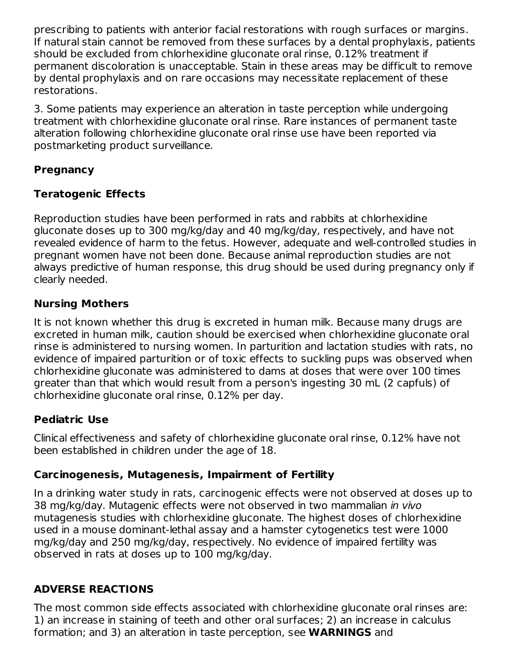prescribing to patients with anterior facial restorations with rough surfaces or margins. If natural stain cannot be removed from these surfaces by a dental prophylaxis, patients should be excluded from chlorhexidine gluconate oral rinse, 0.12% treatment if permanent discoloration is unacceptable. Stain in these areas may be difficult to remove by dental prophylaxis and on rare occasions may necessitate replacement of these restorations.

3. Some patients may experience an alteration in taste perception while undergoing treatment with chlorhexidine gluconate oral rinse. Rare instances of permanent taste alteration following chlorhexidine gluconate oral rinse use have been reported via postmarketing product surveillance.

# **Pregnancy**

# **Teratogenic Effects**

Reproduction studies have been performed in rats and rabbits at chlorhexidine gluconate doses up to 300 mg/kg/day and 40 mg/kg/day, respectively, and have not revealed evidence of harm to the fetus. However, adequate and well-controlled studies in pregnant women have not been done. Because animal reproduction studies are not always predictive of human response, this drug should be used during pregnancy only if clearly needed.

### **Nursing Mothers**

It is not known whether this drug is excreted in human milk. Because many drugs are excreted in human milk, caution should be exercised when chlorhexidine gluconate oral rinse is administered to nursing women. In parturition and lactation studies with rats, no evidence of impaired parturition or of toxic effects to suckling pups was observed when chlorhexidine gluconate was administered to dams at doses that were over 100 times greater than that which would result from a person's ingesting 30 mL (2 capfuls) of chlorhexidine gluconate oral rinse, 0.12% per day.

### **Pediatric Use**

Clinical effectiveness and safety of chlorhexidine gluconate oral rinse, 0.12% have not been established in children under the age of 18.

### **Carcinogenesis, Mutagenesis, Impairment of Fertility**

In a drinking water study in rats, carcinogenic effects were not observed at doses up to 38 mg/kg/day. Mutagenic effects were not observed in two mammalian in vivo mutagenesis studies with chlorhexidine gluconate. The highest doses of chlorhexidine used in a mouse dominant-lethal assay and a hamster cytogenetics test were 1000 mg/kg/day and 250 mg/kg/day, respectively. No evidence of impaired fertility was observed in rats at doses up to 100 mg/kg/day.

# **ADVERSE REACTIONS**

The most common side effects associated with chlorhexidine gluconate oral rinses are: 1) an increase in staining of teeth and other oral surfaces; 2) an increase in calculus formation; and 3) an alteration in taste perception, see **WARNINGS** and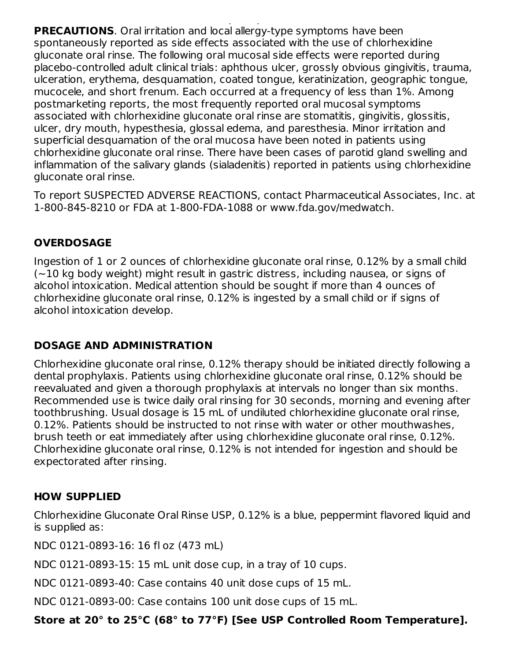formation; and 3) an alteration in taste perception, see **WARNINGS** and **PRECAUTIONS**. Oral irritation and local allergy-type symptoms have been spontaneously reported as side effects associated with the use of chlorhexidine gluconate oral rinse. The following oral mucosal side effects were reported during placebo-controlled adult clinical trials: aphthous ulcer, grossly obvious gingivitis, trauma, ulceration, erythema, desquamation, coated tongue, keratinization, geographic tongue, mucocele, and short frenum. Each occurred at a frequency of less than 1%. Among postmarketing reports, the most frequently reported oral mucosal symptoms associated with chlorhexidine gluconate oral rinse are stomatitis, gingivitis, glossitis, ulcer, dry mouth, hypesthesia, glossal edema, and paresthesia. Minor irritation and superficial desquamation of the oral mucosa have been noted in patients using chlorhexidine gluconate oral rinse. There have been cases of parotid gland swelling and inflammation of the salivary glands (sialadenitis) reported in patients using chlorhexidine gluconate oral rinse.

To report SUSPECTED ADVERSE REACTIONS, contact Pharmaceutical Associates, Inc. at 1-800-845-8210 or FDA at 1-800-FDA-1088 or www.fda.gov/medwatch.

# **OVERDOSAGE**

Ingestion of 1 or 2 ounces of chlorhexidine gluconate oral rinse, 0.12% by a small child (~10 kg body weight) might result in gastric distress, including nausea, or signs of alcohol intoxication. Medical attention should be sought if more than 4 ounces of chlorhexidine gluconate oral rinse, 0.12% is ingested by a small child or if signs of alcohol intoxication develop.

# **DOSAGE AND ADMINISTRATION**

Chlorhexidine gluconate oral rinse, 0.12% therapy should be initiated directly following a dental prophylaxis. Patients using chlorhexidine gluconate oral rinse, 0.12% should be reevaluated and given a thorough prophylaxis at intervals no longer than six months. Recommended use is twice daily oral rinsing for 30 seconds, morning and evening after toothbrushing. Usual dosage is 15 mL of undiluted chlorhexidine gluconate oral rinse, 0.12%. Patients should be instructed to not rinse with water or other mouthwashes, brush teeth or eat immediately after using chlorhexidine gluconate oral rinse, 0.12%. Chlorhexidine gluconate oral rinse, 0.12% is not intended for ingestion and should be expectorated after rinsing.

# **HOW SUPPLIED**

Chlorhexidine Gluconate Oral Rinse USP, 0.12% is a blue, peppermint flavored liquid and is supplied as:

NDC 0121-0893-16: 16 fl oz (473 mL)

NDC 0121-0893-15: 15 mL unit dose cup, in a tray of 10 cups.

NDC 0121-0893-40: Case contains 40 unit dose cups of 15 mL.

NDC 0121-0893-00: Case contains 100 unit dose cups of 15 mL.

**Store at 20° to 25°C (68° to 77°F) [See USP Controlled Room Temperature].**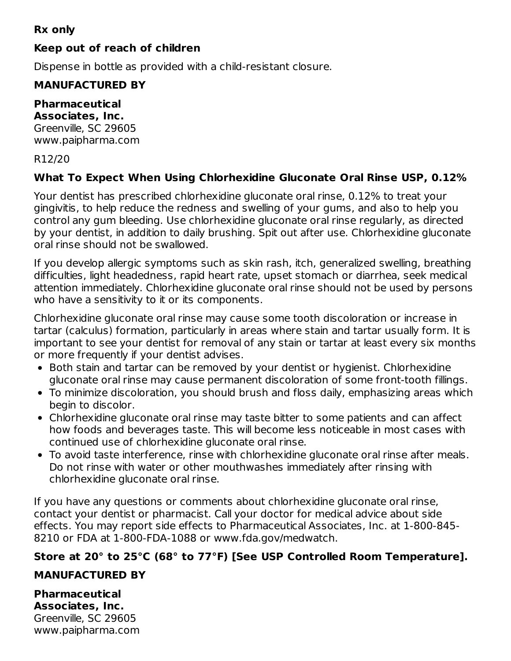# **Rx only**

# **Keep out of reach of children**

Dispense in bottle as provided with a child-resistant closure.

# **MANUFACTURED BY**

#### **Pharmaceutical Associates, Inc.**

Greenville, SC 29605 www.paipharma.com

### R12/20

# **What To Expect When Using Chlorhexidine Gluconate Oral Rinse USP, 0.12%**

Your dentist has prescribed chlorhexidine gluconate oral rinse, 0.12% to treat your gingivitis, to help reduce the redness and swelling of your gums, and also to help you control any gum bleeding. Use chlorhexidine gluconate oral rinse regularly, as directed by your dentist, in addition to daily brushing. Spit out after use. Chlorhexidine gluconate oral rinse should not be swallowed.

If you develop allergic symptoms such as skin rash, itch, generalized swelling, breathing difficulties, light headedness, rapid heart rate, upset stomach or diarrhea, seek medical attention immediately. Chlorhexidine gluconate oral rinse should not be used by persons who have a sensitivity to it or its components.

Chlorhexidine gluconate oral rinse may cause some tooth discoloration or increase in tartar (calculus) formation, particularly in areas where stain and tartar usually form. It is important to see your dentist for removal of any stain or tartar at least every six months or more frequently if your dentist advises.

- Both stain and tartar can be removed by your dentist or hygienist. Chlorhexidine gluconate oral rinse may cause permanent discoloration of some front-tooth fillings.
- To minimize discoloration, you should brush and floss daily, emphasizing areas which begin to discolor.
- Chlorhexidine gluconate oral rinse may taste bitter to some patients and can affect how foods and beverages taste. This will become less noticeable in most cases with continued use of chlorhexidine gluconate oral rinse.
- To avoid taste interference, rinse with chlorhexidine gluconate oral rinse after meals. Do not rinse with water or other mouthwashes immediately after rinsing with chlorhexidine gluconate oral rinse.

If you have any questions or comments about chlorhexidine gluconate oral rinse, contact your dentist or pharmacist. Call your doctor for medical advice about side effects. You may report side effects to Pharmaceutical Associates, Inc. at 1-800-845- 8210 or FDA at 1-800-FDA-1088 or www.fda.gov/medwatch.

# **Store at 20° to 25°C (68° to 77°F) [See USP Controlled Room Temperature].**

# **MANUFACTURED BY**

**Pharmaceutical Associates, Inc.** Greenville, SC 29605 www.paipharma.com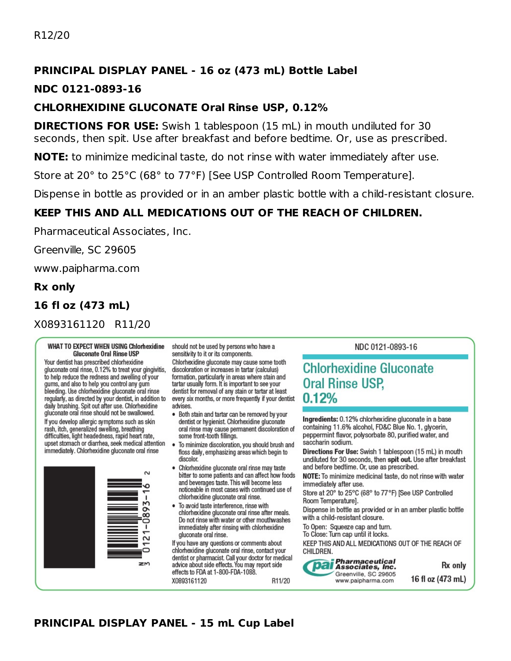# **PRINCIPAL DISPLAY PANEL - 16 oz (473 mL) Bottle Label**

#### **NDC 0121-0893-16**

#### **CHLORHEXIDINE GLUCONATE Oral Rinse USP, 0.12%**

**DIRECTIONS FOR USE:** Swish 1 tablespoon (15 mL) in mouth undiluted for 30 seconds, then spit. Use after breakfast and before bedtime. Or, use as prescribed.

**NOTE:** to minimize medicinal taste, do not rinse with water immediately after use.

Store at 20° to 25°C (68° to 77°F) [See USP Controlled Room Temperature].

Dispense in bottle as provided or in an amber plastic bottle with a child-resistant closure.

# **KEEP THIS AND ALL MEDICATIONS OUT OF THE REACH OF CHILDREN.**

Pharmaceutical Associates, Inc.

Greenville, SC 29605

www.paipharma.com

#### **Rx only**

### **16 fl oz (473 mL)**

X0893161120 R11/20

#### **WHAT TO EXPECT WHEN USING Chlorhexidine Gluconate Oral Rinse USP**

Your dentist has prescribed chlorhexidine gluconate oral rinse, 0.12% to treat your gingivitis, to help reduce the redness and swelling of your gums, and also to help you control any gum<br>bleeding. Use chlorhexidine gluconate oral rinse regularly, as directed by your dentist, in addition to<br>daily brushing. Spit out after use. Chlorhexidine<br>gluconate oral rinse should not be swallowed. If you develop allergic symptoms such as skin rash, itch, generalized swelling, breathing

difficulties, light headedness, rapid heart rate, upset stomach or diarrhea, seek medical attention immediately. Chlorhexidine gluconate oral rinse



should not be used by persons who have a sensitivity to it or its components.

Chlorhexidine gluconate may cause some tooth discoloration or increases in tartar (calculus) formation, particularly in areas where stain and tartar usually form. It is important to see your dentist for removal of any stain or tartar at least every six months, or more frequently if your dentist advises.

- . Both stain and tartar can be removed by your dentist or hygienist. Chlorhexidine gluconate oral rinse may cause permanent discoloration of some front-tooth fillings.
- To minimize discoloration, you should brush and floss daily, emphasizing areas which begin to discolor.
- · Chlorhexidine gluconate oral rinse may taste bitter to some patients and can affect how foods and beverages taste. This will become less noticeable in most cases with continued use of chlorhexidine gluconate oral rinse.
- . To avoid taste interference, rinse with chlorhexidine gluconate oral rinse after meals. Do not rinse with water or other mouthwashes immediately after rinsing with chlorhexidine gluconate oral rinse.

If you have any questions or comments about chlorhexidine gluconate oral rinse, contact your dentist or pharmacist. Call your doctor for medical<br>advice about side effects. You may report side effects to FDA at 1-800-FDA-1088. R11/20

X0893161120

#### NDC 0121-0893-16

# **Chlorhexidine Gluconate Oral Rinse USP,**  $0.12%$

Ingredients: 0.12% chlorhexidine gluconate in a base containing 11.6% alcohol, FD&C Blue No. 1, glycerin, peppermint flavor, polysorbate 80, purified water, and saccharin sodium.

Directions For Use: Swish 1 tablespoon (15 mL) in mouth undiluted for 30 seconds, then spit out. Use after breakfast and before bedtime. Or, use as prescribed.

NOTE: To minimize medicinal taste, do not rinse with water immediately after use.

Store at 20° to 25°C (68° to 77°F) [See USP Controlled Room Temperature].

Dispense in bottle as provided or in an amber plastic bottle with a child-resistant closure.

To Open: Squeeze cap and turn.

To Close: Turn cap until it locks.

KEEP THIS AND ALL MEDICATIONS OUT OF THE REACH OF CHILDREN.



Rx only 16 fl oz (473 mL)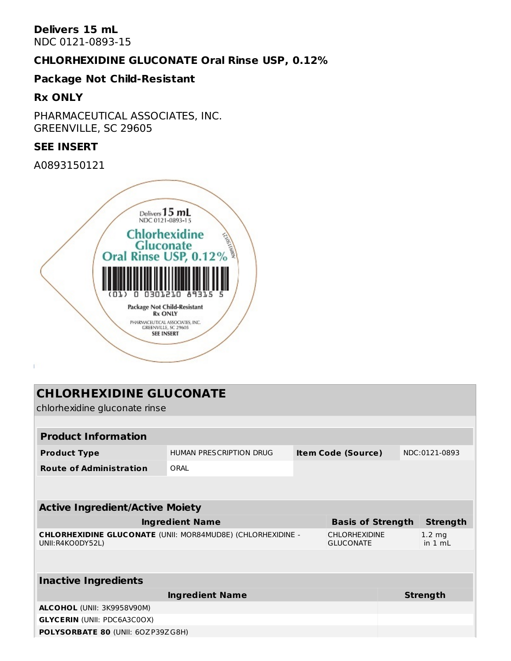#### **Delivers 15 mL** NDC 0121-0893-15

### **CHLORHEXIDINE GLUCONATE Oral Rinse USP, 0.12%**

#### **Package Not Child-Resistant**

#### **Rx ONLY**

PHARMACEUTICAL ASSOCIATES, INC. GREENVILLE, SC 29605

#### **SEE INSERT**

A0893150121



| <b>CHLORHEXIDINE GLUCONATE</b><br>chlorhexidine gluconate rinse                 |                         |                           |                                          |  |                             |  |
|---------------------------------------------------------------------------------|-------------------------|---------------------------|------------------------------------------|--|-----------------------------|--|
|                                                                                 |                         |                           |                                          |  |                             |  |
| <b>Product Information</b>                                                      |                         |                           |                                          |  |                             |  |
| <b>Product Type</b>                                                             | HUMAN PRESCRIPTION DRUG | <b>Item Code (Source)</b> |                                          |  | NDC:0121-0893               |  |
| <b>Route of Administration</b>                                                  | ORAI                    |                           |                                          |  |                             |  |
|                                                                                 |                         |                           |                                          |  |                             |  |
|                                                                                 |                         |                           |                                          |  |                             |  |
| <b>Active Ingredient/Active Moiety</b>                                          |                         |                           |                                          |  |                             |  |
|                                                                                 | <b>Ingredient Name</b>  |                           | <b>Basis of Strength</b>                 |  | <b>Strength</b>             |  |
| CHLORHEXIDINE GLUCONATE (UNII: MOR84MUD8E) (CHLORHEXIDINE -<br>UNII:R4KO0DY52L) |                         |                           | <b>CHLORHEXIDINE</b><br><b>GLUCONATE</b> |  | $1.2 \text{ mg}$<br>in 1 ml |  |
|                                                                                 |                         |                           |                                          |  |                             |  |
|                                                                                 |                         |                           |                                          |  |                             |  |
| <b>Inactive Ingredients</b>                                                     |                         |                           |                                          |  |                             |  |
|                                                                                 | <b>Ingredient Name</b>  |                           |                                          |  | <b>Strength</b>             |  |
| ALCOHOL (UNII: 3K9958V90M)                                                      |                         |                           |                                          |  |                             |  |
| <b>GLYCERIN (UNII: PDC6A3C0OX)</b>                                              |                         |                           |                                          |  |                             |  |
| POLYSORBATE 80 (UNII: 60ZP39ZG8H)                                               |                         |                           |                                          |  |                             |  |